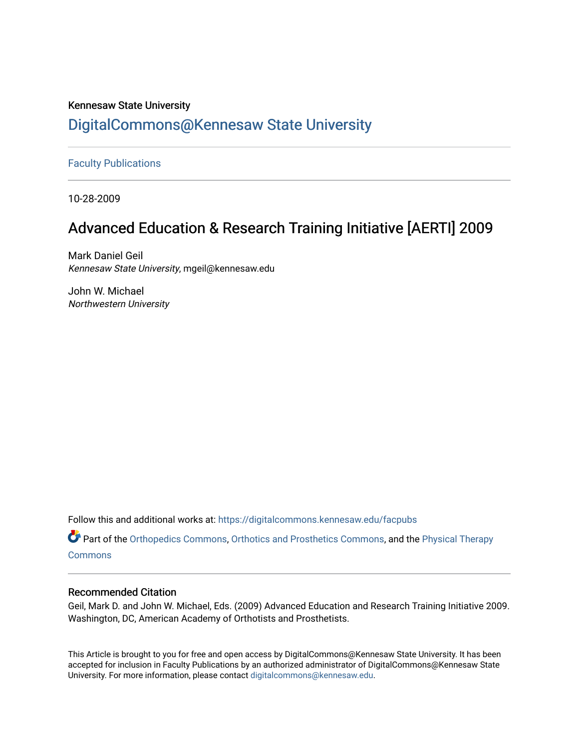## Kennesaw State University [DigitalCommons@Kennesaw State University](https://digitalcommons.kennesaw.edu/)

[Faculty Publications](https://digitalcommons.kennesaw.edu/facpubs)

10-28-2009

## Advanced Education & Research Training Initiative [AERTI] 2009

Mark Daniel Geil Kennesaw State University, mgeil@kennesaw.edu

John W. Michael Northwestern University

Follow this and additional works at: [https://digitalcommons.kennesaw.edu/facpubs](https://digitalcommons.kennesaw.edu/facpubs?utm_source=digitalcommons.kennesaw.edu%2Ffacpubs%2F4957&utm_medium=PDF&utm_campaign=PDFCoverPages)

Part of the [Orthopedics Commons](https://network.bepress.com/hgg/discipline/696?utm_source=digitalcommons.kennesaw.edu%2Ffacpubs%2F4957&utm_medium=PDF&utm_campaign=PDFCoverPages), [Orthotics and Prosthetics Commons](https://network.bepress.com/hgg/discipline/753?utm_source=digitalcommons.kennesaw.edu%2Ffacpubs%2F4957&utm_medium=PDF&utm_campaign=PDFCoverPages), and the [Physical Therapy](https://network.bepress.com/hgg/discipline/754?utm_source=digitalcommons.kennesaw.edu%2Ffacpubs%2F4957&utm_medium=PDF&utm_campaign=PDFCoverPages)  **[Commons](https://network.bepress.com/hgg/discipline/754?utm_source=digitalcommons.kennesaw.edu%2Ffacpubs%2F4957&utm_medium=PDF&utm_campaign=PDFCoverPages)** 

#### Recommended Citation

Geil, Mark D. and John W. Michael, Eds. (2009) Advanced Education and Research Training Initiative 2009. Washington, DC, American Academy of Orthotists and Prosthetists.

This Article is brought to you for free and open access by DigitalCommons@Kennesaw State University. It has been accepted for inclusion in Faculty Publications by an authorized administrator of DigitalCommons@Kennesaw State University. For more information, please contact [digitalcommons@kennesaw.edu.](mailto:digitalcommons@kennesaw.edu)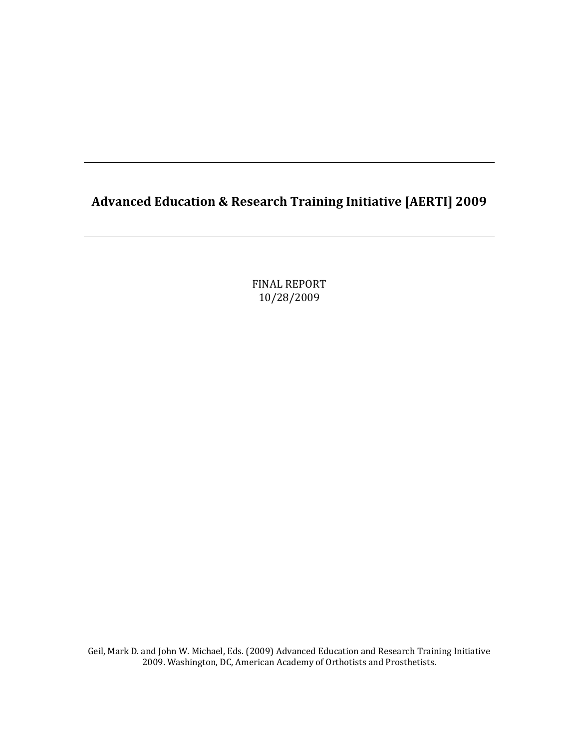## **Advanced Education & Research Training Initiative [AERTI] 2009**

FINAL REPORT 10/28/2009

Geil, Mark D. and John W. Michael, Eds. (2009) Advanced Education and Research Training Initiative 2009. Washington, DC, American Academy of Orthotists and Prosthetists.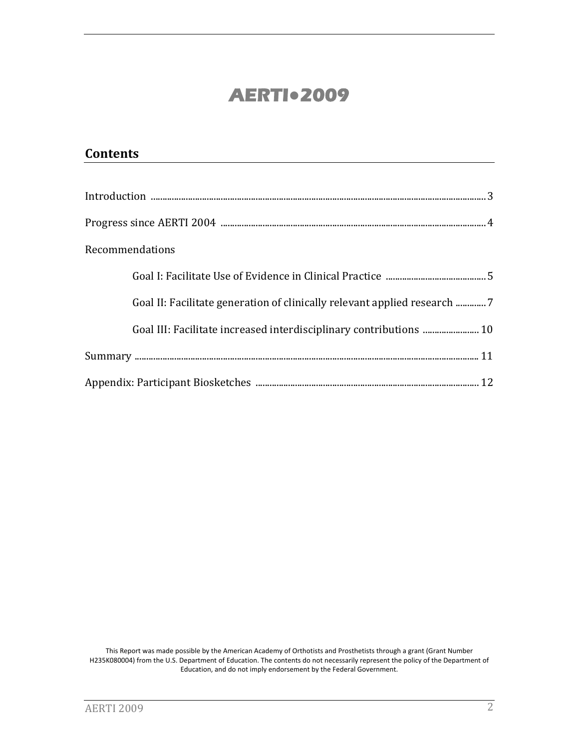## **AERTI●2009**

| <b>Contents</b>                                                          |
|--------------------------------------------------------------------------|
|                                                                          |
|                                                                          |
|                                                                          |
| Recommendations                                                          |
|                                                                          |
| Goal II: Facilitate generation of clinically relevant applied research 7 |
| Goal III: Facilitate increased interdisciplinary contributions  10       |
|                                                                          |
|                                                                          |

This Report was made possible by the American Academy of Orthotists and Prosthetists through a grant (Grant Number H235K080004) from the U.S. Department of Education. The contents do not necessarily represent the policy of the Department of Education, and do not imply endorsement by the Federal Government.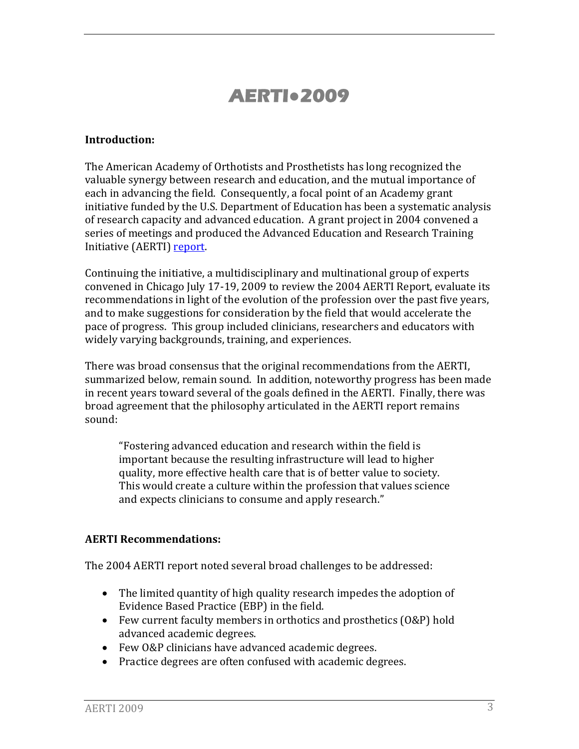# **AERTI●2009**

#### **Introduction:**

The American Academy of Orthotists and Prosthetists has long recognized the valuable synergy between research and education, and the mutual importance of each in advancing the field. Consequently, a focal point of an Academy grant initiative funded by the U.S. Department of Education has been a systematic analysis of research capacity and advanced education. A grant project in 2004 convened a series of meetings and produced the Advanced Education and Research Training Initiative (AERTI) report.

Continuing the initiative, a multidisciplinary and multinational group of experts convened in Chicago July 17‐19, 2009 to review the 2004 AERTI Report, evaluate its recommendations in light of the evolution of the profession over the past five years, and to make suggestions for consideration by the field that would accelerate the pace of progress. This group included clinicians, researchers and educators with widely varying backgrounds, training, and experiences.

There was broad consensus that the original recommendations from the AERTI, summarized below, remain sound. In addition, noteworthy progress has been made in recent years toward several of the goals defined in the AERTI. Finally, there was broad agreement that the philosophy articulated in the AERTI report remains sound:

"Fostering advanced education and research within the field is important because the resulting infrastructure will lead to higher quality, more effective health care that is of better value to society. This would create a culture within the profession that values science and expects clinicians to consume and apply research."

#### **AERTI Recommendations:**

The 2004 AERTI report noted several broad challenges to be addressed:

- The limited quantity of high quality research impedes the adoption of Evidence Based Practice (EBP) in the field.
- Few current faculty members in orthotics and prosthetics (O&P) hold advanced academic degrees.
- Few O&P clinicians have advanced academic degrees.
- Practice degrees are often confused with academic degrees.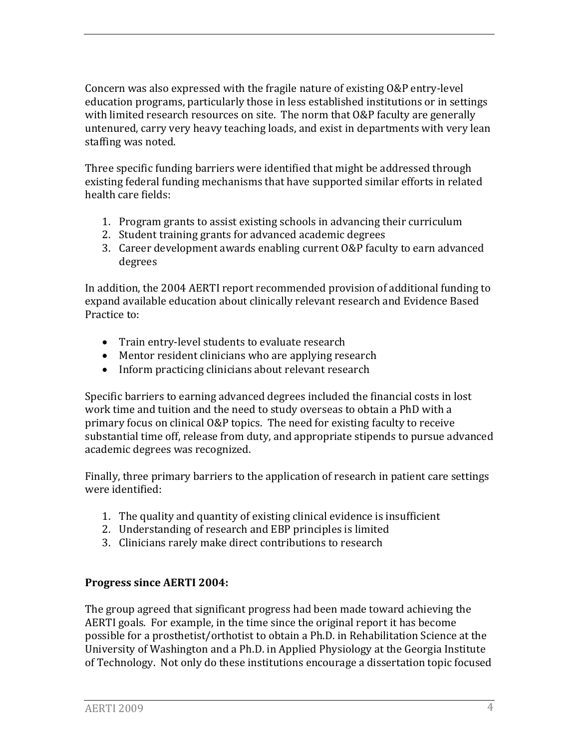Concern was also expressed with the fragile nature of existing O&P entry‐level education programs, particularly those in less established institutions or in settings with limited research resources on site. The norm that O&P faculty are generally untenured, carry very heavy teaching loads, and exist in departments with very lean staffing was noted.

Three specific funding barriers were identified that might be addressed through existing federal funding mechanisms that have supported similar efforts in related health care fields:

- 1. Program grants to assist existing schools in advancing their curriculum
- 2. Student training grants for advanced academic degrees
- 3. Career development awards enabling current O&P faculty to earn advanced degrees

In addition, the 2004 AERTI report recommended provision of additional funding to xpand available education about clinically relevant research and Evidence Based e Practice to:

- Train entry-level students to evaluate research
- Mentor resident clinicians who are applying research
- Inform practicing clinicians about relevant research

Specific barriers to earning advanced degrees included the financial costs in lost work time and tuition and the need to study overseas to obtain a PhD with a primary focus on clinical O&P topics. The need for existing faculty to receive substantial time off, release from duty, and appropriate stipends to pursue advanced academic degrees was recognized.

Finally, three primary barriers to the application of research in patient care settings were identified:

- 1. The quality and quantity of existing clinical evidence is insufficient
- 2. Understanding of research and EBP principles is limited
- 3. Clinicians rarely make direct contributions to research

#### **Progress since AERTI 2004:**

The group agreed that significant progress had been made toward achieving the AERTI goals. For example, in the time since the original report it has become possible for a prosthetist/orthotist to obtain a Ph.D. in Rehabilitation Science at the University of Washington and a Ph.D. in Applied Physiology at the Georgia Institute of Technology. Not only do these institutions encourage a dissertation topic focused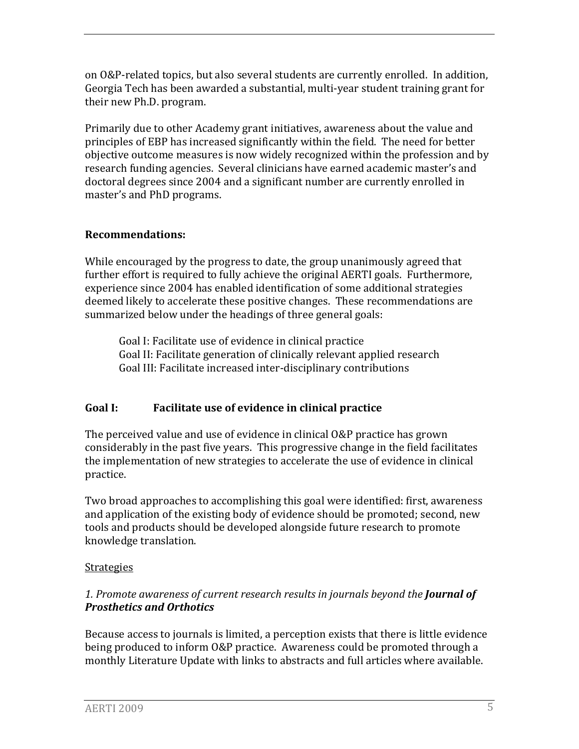on O&P‐related topics, but also several students are currently enrolled. In addition, Georgia Tech has been awarded a substantial, multi‐year student training grant for their new Ph.D. program.

Primarily due to other Academy grant initiatives, awareness about the value and principles of EBP has increased significantly within the field. The need for better objective outcome measures is now widely recognized within the profession and by research funding agencies. Several clinicians have earned academic master's and doctoral degrees since 2004 and a significant number are currently enrolled in master's and PhD programs.

#### **Recommendations:**

While encouraged by the progress to date, the group unanimously agreed that further effort is required to fully achieve the original AERTI goals. Furthermore, experience since 2004 has enabled identification of some additional strategies deemed likely to accelerate these positive changes. These recommendations are summarized below under the headings of three general goals:

Goal I: Facilitate use of evidence in clinical practice Goal II: Facilitate generation of clinically relevant applied res earch Goal III: Facilitate increased inter‐disciplinary contributions

### **Goal I: Facilitate use of evidence in clinical practice**

The perceived value and use of evidence in clinical O&P practice has grown considerably in the past five years. This progressive change in the field facilitates the implementation of new strategies to accelerate the use of evidence in clinical practice.

Two broad approaches to accomplishing this goal were identified: first, awareness and application of the existing body of evidence should be promoted; second, new tools and products should be developed alongside future research to promote knowledge translation.

#### Strategies

#### *1. Promote awareness of current research results in journals beyond the Journal of Prosthetics and Orthotics*

Because access to journals is limited, a perception exists that there is little evidence being produced to inform O&P practice. Awareness could be promoted through a monthly Literature Update with links to abstracts and full articles where available.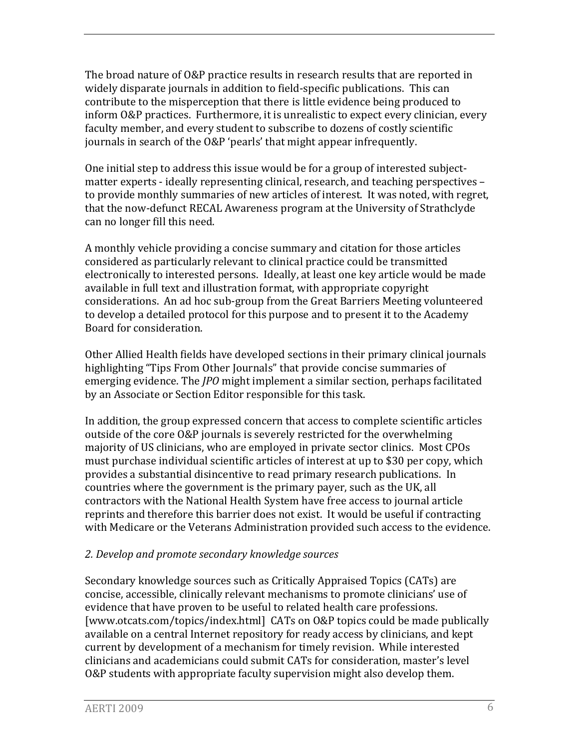The broad nature of O&P practice results in research results that are reported in widely disparate journals in addition to field‐specific publications. This can contribute to the misperception that there is little evidence being produced to inform O&P practices. Furthermore, it is unrealistic to expect every clinician, every faculty member, and every student to subscribe to dozens of costly scientific journals in search of the O&P 'pearls' that might appear infrequently.

One initial step to address this issue would be for a group of interested subject‐ matter experts ‐ ideally representing clinical, research, and teaching perspectives – to provide monthly summaries of new articles of interest. It was noted, with regret, that the now‐defunct RECAL Awareness program at the University of Strathclyde can no longer fill this need.

A monthly vehicle providing a concise summary and citation for those articles considered as particularly relevant to clinical practice could be transmitted electronically to interested persons. Ideally, at least one key article would be made available in full text and illustration format, with appropriate copyright considerations. An ad hoc sub‐group from the Great Barriers Meeting volunteered to develop a detailed protocol for this purpose and to present it to the Academy Board for consideration.

Other Allied Health fields have developed sections in their primary clinical journals highlighting "Tips From Other Journals" that provide concise summaries of emerging evidence. The *JPO* might implement a similar section, perhaps facilitated by an Associate or Section Editor responsible for this task.

In addition, the group expressed concern that access to complete scientific articles outside of the core O&P journals is severely restricted for the overwhelming majority of US clinicians, who are employed in private sector clinics. Most CPOs must purchase individual scientific articles of interest at up to \$30 per copy, which provides a substantial disincentive to read primary research publications. In countries where the government is the primary payer, such as the UK, all contractors with the National Health System have free access to journal article reprints and therefore this barrier does not exist. It would be useful if contracting with Medicare or the Veterans Administration provided such access to the evidence.

#### *2. Develop and promote secondary knowledge sources*

Secondary knowledge sources such as Critically Appraised Topics (CATs) are concise, accessible, clinically relevant mechanisms to promote clinicians' use of evidence that have proven to be useful to related health care professions. [www.otcats.com/topics/index.html] CATs on O&P topics could be made publically available on a central Internet repository for ready access by clinicians, and kept current by development of a mechanism for timely revision. While interested clinicians and academicians could submit CATs for consideration, master's level O&P students with appropriate faculty supervision might also develop them.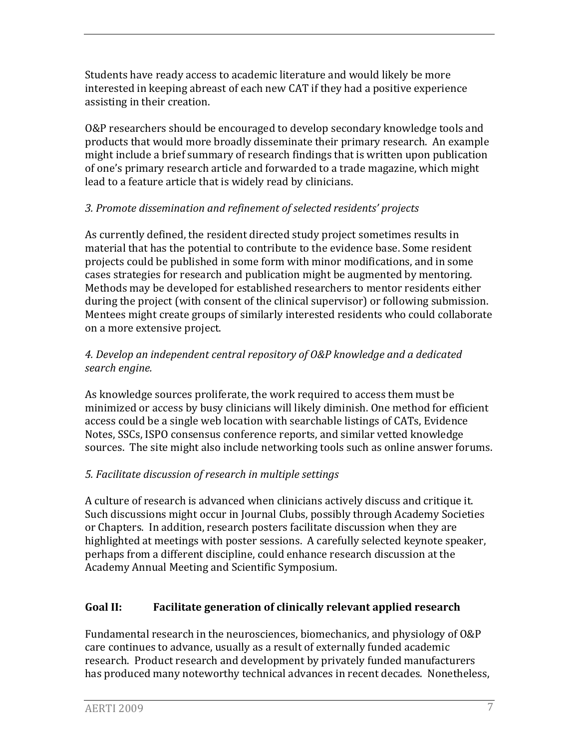Students have ready access to academic literature and would likely be more interested in keeping abreast of each new CAT if they had a positive experience assisting in their creation.

O&P researchers should be encouraged to develop secondary knowledge tools and products that would more broadly disseminate their primary research. An example might include a brief summary of research findings that is written upon publication of one's primary research article and forwarded to a trade magazine, which might lead to a feature article that is widely read by clinicians.

#### *3. Promote dissemination and refinement of selected residents' projects*

As currently defined, the resident directed study project sometimes results in material that has the potential to contribute to the evidence base. Some resident projects could be published in some form with minor modifications, and in some cases strategies for research and publication might be augmented by mentoring. Methods may be developed for established researchers to mentor residents either during the project (with consent of the clinical supervisor) or following submission. Mentees might create groups of similarly interested residents who could collaborate on a more extensive project.

#### *4. Develop an independent central repository of O&P knowledge and a dedicated search engine.*

As knowledge sources proliferate, the work required to access them must be minimized or access by busy clinicians will likely diminish. One method for efficient access could be a single web location with searchable listings of CATs, Evidence Notes, SSCs, ISPO consensus conference reports, and similar vetted knowledge sources. The site might also include networking tools such as online answer forums.

#### *5. Facilitate discussion of research in multiple settings*

A culture of research is advanced when clinicians actively discuss and critique it. Such discussions might occur in Journal Clubs, possibly through Academy Societies or Chapters. In addition, research posters facilitate discussion when they are highlighted at meetings with poster sessions. A carefully selected keynote speaker, erhaps from a different discipline, could enhance research discussion at the p Academy Annual Meeting and Scientific Symposium.

### **Goal II: Facilitate generation of clinically relevant applied research**

Fundamental research in the neurosciences, biomechanics, and physiology of O&P care continues to advance, usually as a result of externally funded academic research. Product research and development by privately funded manufacturers has produced many noteworthy technical advances in recent decades. Nonetheless,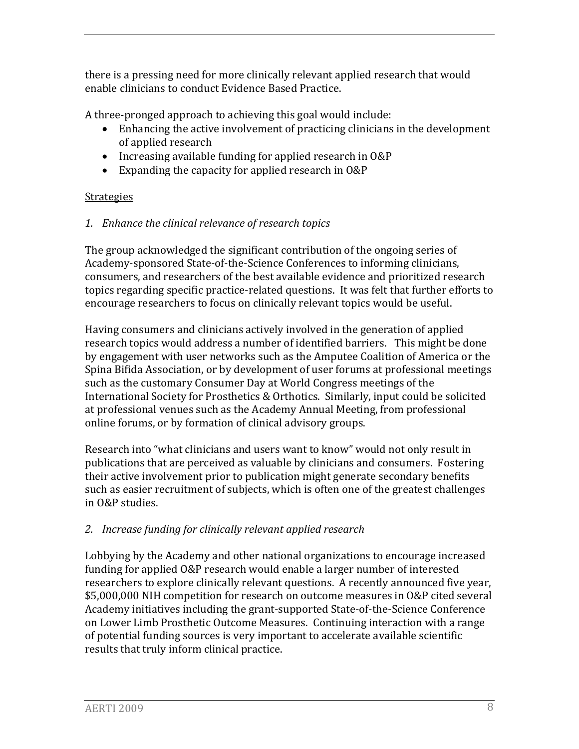there is a pressing need for more clinically relevant applied research that would enable clinicians to conduct Evidence Based Practice.

A three‐pronged approach to achieving this goal would include:

- Enhancing the active involvement of practicing clinicians in the development of applied research
- Increasing available funding for applied research in O&P
- Expanding the capacity for applied research in O&P

### **Strategies**

#### *1. Enhance the clinical relevance of research topics*

The group acknowledged the significant contribution of the ongoing series of Academy‐sponsored State‐of‐the‐Science Conferences to informing clinicians, consumers, and researchers of the best available evidence and prioritized research topics regarding specific practice‐related questions. It was felt that further efforts to encourage researchers to focus on clinically relevant topics would be useful.

Having consumers and clinicians actively involved in the generation of applied research topics would address a number of identified barriers. This might be done by engagement with user networks such as the Amputee Coalition of America or the Spina Bifida Association, or by development of user forums at professional meetings such as the customary Consumer Day at World Congress meetings of the International Society for Prosthetics & Orthotics. Similarly, input could be solicited at professional venues such as the Academy Annual Meeting, from professional online forums, or by formation of clinical advisory groups.

Research into "what clinicians and users want to know" would not only result in publications that are perceived as valuable by clinicians and consumers. Fostering their active involvement prior to publication might generate secondary benefits such as easier recruitment of subjects, which is often one of the greatest challenges n O&P studies. i

### *2. Increase funding for clinically relevant applied research*

Lobbying by the Academy and other national organizations to encourage increased funding for applied O&P research would enable a larger number of interested researchers to explore clinically relevant questions. A recently announced five year, \$5,000,000 NIH competition for research on outcome measures in O&P cited several Academy initiatives including the grant‐supported State‐of‐the‐Science Conference on Lower Limb Prosthetic Outcome Measures. Continuing interaction with a range of potential funding sources is very important to accelerate available scientific results that truly inform clinical practice.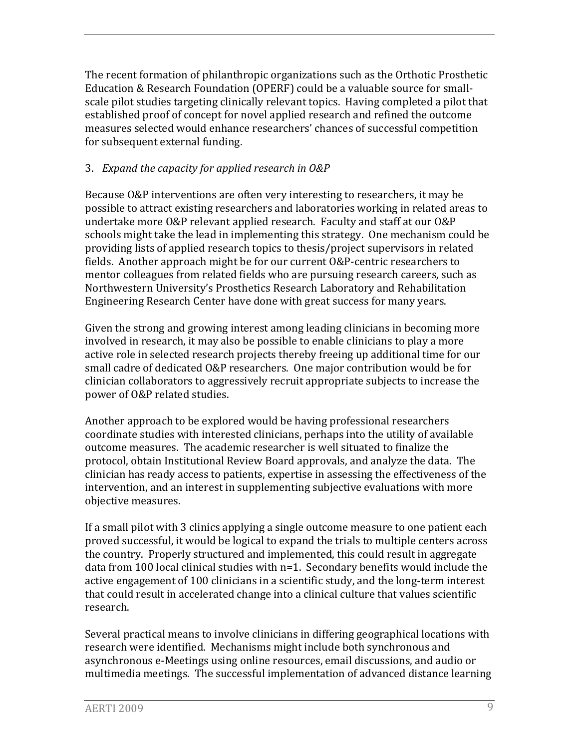The recent formation of philanthropic organizations such as the Orthotic Prosthetic Education & Research Foundation (OPERF) could be a valuable source for small‐ scale pilot studies targeting clinically relevant topics. Having completed a pilot that established proof of concept for novel applied research and refined the outcome measures selected would enhance researchers' chances of successful competition for subsequent external funding.

#### 3. *Expand the capacity for applied research in O&P*

Because O&P interventions are often very interesting to researchers, it may be possible to attract existing researchers and laboratories working in related areas to undertake more O&P relevant applied research. Faculty and staff at our O&P schools might take the lead in implementing this strategy. One mechanism could be providing lists of applied research topics to thesis/project supervisors in related fields. Another approach might be for our current O&P‐centric researchers to mentor colleagues from related fields who are pursuing research careers, such as Northwestern University's Prosthetics Research Laboratory and Rehabilitation Engineering Research Center have done with great success for many years.

Given the strong and growing interest among leading clinicians in becoming more involved in research, it may also be possible to enable clinicians to play a more active role in selected research projects thereby freeing up additional time for our small cadre of dedicated O&P researchers. One major contribution would be for clinician collaborators to aggressively recruit appropriate subjects to increase the power of O&P related studies.

Another approach to be explored would be having professional researchers coordinate studies with interested clinicians, perhaps into the utility of available outcome measures. The academic researcher is well situated to finalize the protocol, obtain Institutional Review Board approvals, and analyze the data. The clinician has ready access to patients, expertise in assessing the effectiveness of the intervention, and an interest in supplementing subjective evaluations with more objective measures.

If a small pilot with 3 clinics applying a single outcome measure to one patient each proved successful, it would be logical to expand the trials to multiple centers across the country. Properly structured and implemented, this could result in aggregate data from 100 local clinical studies with n=1. Secondary benefits would include the active engagement of 100 clinicians in a scientific study, and the long‐term interest that could result in accelerated change into a clinical culture that values scientific research.

Several practical means to involve clinicians in differing geographical locations with research were identified. Mechanisms might include both synchronous and asynchronous e‐Meetings using online resources, email discussions, and audio or multimedia meetings. The successful implementation of advanced distance learning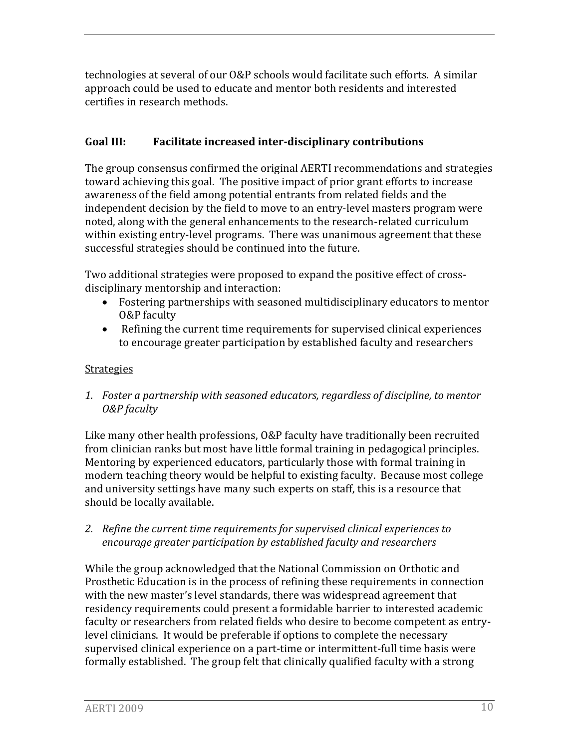technologies at several of our O&P schools would facilitate such efforts. A similar approach could be used to educate and mentor both residents and interested ertifies in research methods. c

#### **Goal III: Facilitate increased interdisciplinary contributions**

The group consensus confirmed the original AERTI recommendations and strategies toward achieving this goal. The positive impact of prior grant efforts to increase awareness of the field among potential entrants from related fields and the independent decision by the field to move to an entry‐level masters program were noted, along with the general enhancements to the research‐related curriculum within existing entry-level programs. There was unanimous agreement that these successful strategies should be continued into the future.

Two ad ditional strategies were proposed to expand the positive effect of cross‐ discipli nary mentorship and interaction:

- Fostering partnerships with seasoned multidisciplinary educators to mentor O&P faculty
- Refining the current time requirements for supervised clinical experiences to encourage greater participation by established faculty and researchers

#### **Strategies**

*1. Foster a partnership with seasoned educators, regardless of discipline, to mentor O&P faculty* 

Like many other health professions, O&P faculty have traditionally been recruited from clinician ranks but most have little formal training in pedagogical principles. Mentoring by experienced educators, particularly those with formal training in modern teaching theory would be helpful to existing faculty. Because most college and university settings have many such experts on staff, this is a resource that should be locally available.

*2. Refine the current time requirements for supervised clinical experiences to encourage greater participation by established faculty and researchers*

While the group acknowledged that the National Commission on Orthotic and Prosthetic Education is in the process of refining these requirements in connection with the new master's level standards, there was widespread agreement that residency requirements could present a formidable barrier to interested academic faculty or researchers from related fields who desire to become competent as entry‐ level clinicians. It would be preferable if options to complete the necessary supervised clinical experience on a part‐time or intermittent‐full time basis were formally established. The group felt that clinically qualified faculty with a strong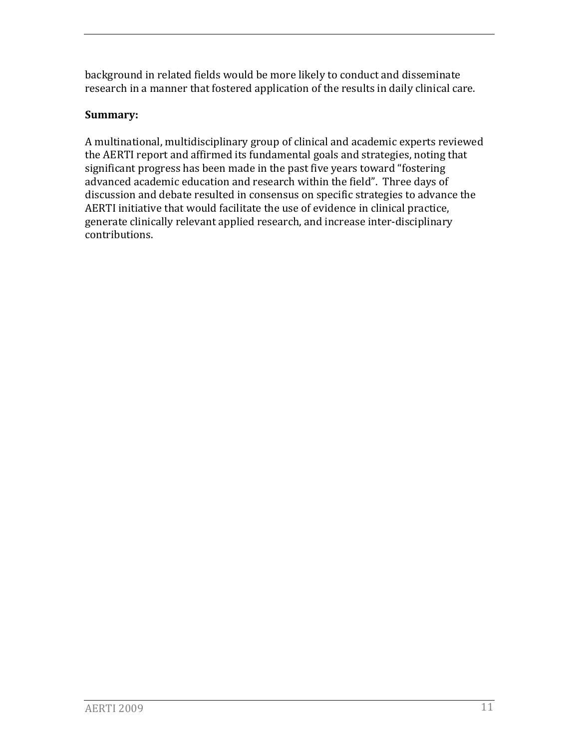b ackground in related fields would be more likely to conduct and disseminate r esearch in a manner that fostered application of the results in daily clinical care.

#### **Summary:**

A multinational, multidisciplinary group of clinical and academic experts reviewed the AERTI report and affirmed its fundamental goals and strategies, noting that significant progress has been made in the past five years toward "fostering advanced academic education and research within the field". Three days of discussion and debate resulted in consensus on specific strategies to advance the AERTI initiative that would facilitate the use of evidence in clinical practice, generate clinically relevant applied research, and increase inter‐disciplinary contributions.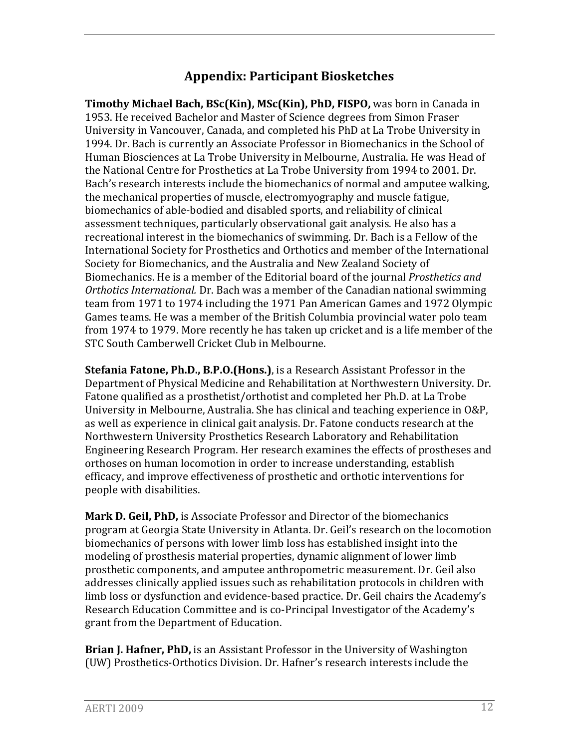## **Appendix: Participant Biosketches**

**Timothy Michael Bach, BSc(Kin), MSc(Kin), PhD, FISPO,** was born in Canada in 1953. He received Bachelor and Master of Science degrees from Simon Fraser University in Vancouver, Canada, and completed his PhD at La Trobe University in 1994. Dr. Bach is currently an Associate Professor in Biomechanics in the School of Human Biosciences at La Trobe University in Melbourne, Australia. He was Head of the National Centre for Prosthetics at La Trobe University from 1994 to 2001. Dr. Bach's research interests include the biomechanics of normal and amputee walking, the mechanical properties of muscle, electromyography and muscle fatigue, biomechanics of able‐bodied and disabled sports, and reliability of clinical assessment techniques, particularly observational gait analysis. He also has a recreational interest in the biomechanics of swimming. Dr. Bach is a Fellow of the International Society for Prosthetics and Orthotics and member of the International Society for Biomechanics, and the Australia and New Zealand Society of Biomechanics. He is a member of the Editorial board of the journal *Prosthetics and Orthotics International.* Dr. Bach was a member of the Canadian national swimming team from 1971 to 1974 including the 1971 Pan American Games and 1972 Olympic Games teams. He was a member of the British Columbia provincial water polo team from 1974 to 1979. More recently he has taken up cricket and is a life member of the STC South Camberwell Cricket Club in Melbourne.

**Stefania Fatone, Ph.D., B.P.O.(Hons.)**, is a Research Assistant Professor in the Department of Physical Medicine and Rehabilitation at Northwestern University. Dr. Fatone qualified as a prosthetist/orthotist and completed her Ph.D. at La Trobe University in Melbourne, Australia. She has clinical and teaching experience in O&P, as well as experience in clinical gait analysis. Dr. Fatone conducts research at the Northwestern University Prosthetics Research Laboratory and Rehabilitation Engineering Research Program. Her research examines the effects of prostheses and orthoses on human locomotion in order to increase understanding, establish efficacy, and improve effectiveness of prosthetic and orthotic interventions for people with disabilities.

**Mark D. Geil, PhD,** is Associate Professor and Director of the biomechanics program at Georgia State University in Atlanta. Dr. Geil's research on the locomotion biomechanics of persons with lower limb loss has established insight into the modeling of prosthesis material properties, dynamic alignment of lower limb prosthetic components, and amputee anthropometric measurement. Dr. Geil also addresses clinically applied issues such as rehabilitation protocols in children with limb loss or dysfunction and evidence-based practice. Dr. Geil chairs the Academy's Research Education Committee and is co‐Principal Investigator of the Academy's grant from the Department of Education.

**Brian J. Hafner, PhD,** is an Assistant Professor in the University of Washington (UW) Prosthetics‐Orthotics Division. Dr. Hafner's research interests include the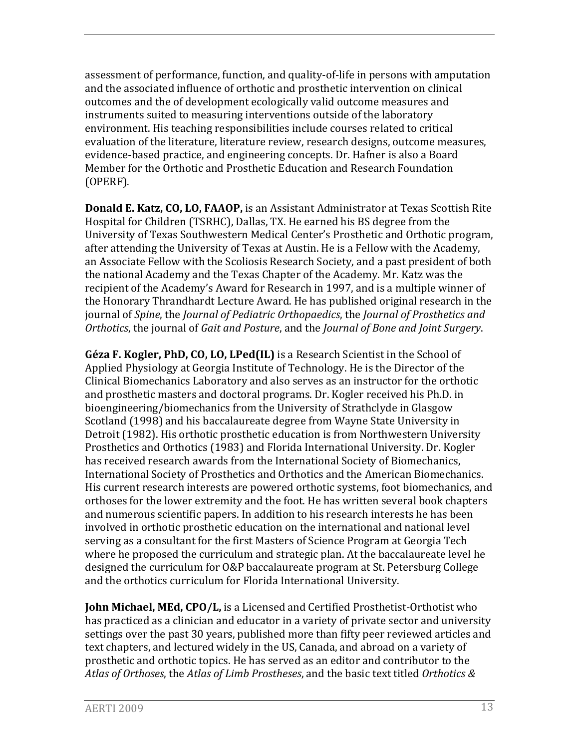assessment of performance, function, and quality‐of‐life in persons with amputation and the associated influence of orthotic and prosthetic intervention on clinical outcomes and the of development ecologically valid outcome measures and instruments suited to measuring interventions outside of the laboratory environment. His teaching responsibilities include courses related to critical evaluation of the literature, literature review, research designs, outcome measures, evidence‐based practice, and engineering concepts. Dr. Hafner is also a Board Member for the Orthotic and Prosthetic Education and Research Foundation (OPERF).

**Donald E. Katz, CO, LO, FAAOP,** is an Assistant Administrator at Texas Scottish Rite Hospital for Children (TSRHC), Dallas, TX. He earned his BS degree from the University of Texas Southwestern Medical Center's Prosthetic and Orthotic program, after attending the University of Texas at Austin. He is a Fellow with the Academy, an Associate Fellow with the Scoliosis Research Society, and a past president of both the national Academy and the Texas Chapter of the Academy. Mr. Katz was the recipient of the Academy's Award for Research in 1997, and is a multiple winner of the Honorary Thrandhardt Lecture Award. He has published original research in the journal of *Spine*, the *Journal of Pediatric Orthopaedics*, the *Journal of Prosthetics and Orthotics*, the journal of *Gait and Posture*, and the *Journal of Bone and Joint Surgery*.

**Géza F. Kogler, PhD, CO, LO, LPed(IL)** is a Research Scientist in the School of Applied Physiology at Georgia Institute of Technology. He is the Director of the Clinical Biomechanics Laboratory and also serves as an instructor for the orthotic and prosthetic masters and doctoral programs. Dr. Kogler received his Ph.D. in bioengineering/biomechanics from the University of Strathclyde in Glasgow Scotland (1998) and his baccalaureate degree from Wayne State University in Detroit (1982). His orthotic prosthetic education is from Northwestern University Prosthetics and Orthotics (1983) and Florida International University. Dr. Kogler has received research awards from the International Society of Biomechanics, International Society of Prosthetics and Orthotics and the American Biomechanics. His current research interests are powered orthotic systems, foot biomechanics, and orthoses for the lower extremity and the foot. He has written several book chapters and numerous scientific papers. In addition to his research interests he has been involved in orthotic prosthetic education on the international and national level serving as a consultant for the first Masters of Science Program at Georgia Tech where he proposed the curriculum and strategic plan. At the baccalaureate level he designed the curriculum for O&P baccalaureate program at St. Petersburg College and the orthotics curriculum for Florida International University.

**John Michael, MEd, CPO/L,** is a Licensed and Certified Prosthetist‐Orthotist who has practiced as a clinician and educator in a variety of private sector and university settings over the past 30 years, published more than fifty peer reviewed articles and text chapters, and lectured widely in the US, Canada, and abroad on a variety of prosthetic and orthotic topics. He has served as an editor and contributor to the *Atlas of Orthoses*, the *Atlas of Limb Prostheses*, and the basic text titled *Orthotics &*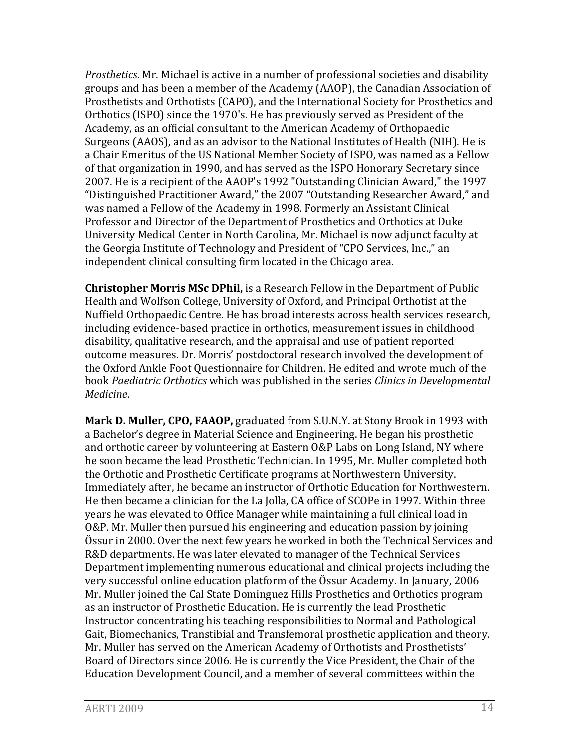*Prosthetics*. Mr. Michael is active in a number of professional societies and disability groups and has been a member of the Academy (AAOP), the Canadian Association of Prosthetists and Orthotists (CAPO), and the International Society for Prosthetics and Orthotics (ISPO) since the 1970's. He has previously served as President of the Academy, as an official consultant to the American Academy of Orthopaedic Surgeons (AAOS), and as an advisor to the National Institutes of Health (NIH). He is a Chair Emeritus of the US National Member Society of ISPO, was named as a Fellow of that organization in 1990, and has served as the ISPO Honorary Secretary since 2007. He is a recipient of the AAOP's 1992 "Outstanding Clinician Award," the 1997 "Distinguished Practitioner Award," the 2007 "Outstanding Researcher Award," and was named a Fellow of the Academy in 1998. Formerly an Assistant Clinical Professor and Director of the Department of Prosthetics and Orthotics at Duke University Medical Center in North Carolina, Mr. Michael is now adjunct faculty at the Georgia Institute of Technology and President of "CPO Services, Inc.," an independent clinical consulting firm located in the Chicago area.

**Christopher Morris MSc DPhil,** is a Research Fellow in the Department of Public Health and Wolfson College, University of Oxford, and Principal Orthotist at the Nuffield Orthopaedic Centre. He has broad interests across health services research, including evidence‐based practice in orthotics, measurement issues in childhood disability, qualitative research, and the appraisal and use of patient reported outcome measures. Dr. Morris' postdoctoral research involved the development of the Oxford Ankle Foot Questionnaire for Children. He edited and wrote much of the book *Paediatric Orthotics* which was published in the series *Clinics in Developmental Medicine*.

**Mark D. Muller, CPO, FAAOP,** graduated from S.U.N.Y. at Stony Brook in 1993 with a Bachelor's degree in Material Science and Engineering. He began his prosthetic and orthotic career by volunteering at Eastern O&P Labs on Long Island, NY where he soon became the lead Prosthetic Technician. In 1995, Mr. Muller completed both the Orthotic and Prosthetic Certificate programs at Northwestern University. Immediately after, he became an instructor of Orthotic Education for Northwestern. He then became a clinician for the La Jolla, CA office of SCOPe in 1997. Within three years he was elevated to Office Manager while maintaining a full clinical load in O&P. Mr. Muller then pursued his engineering and education passion by joining Össur in 2000. Over the next few years he worked in both the Technical Services and R&D departments. He was later elevated to manager of the Technical Services Department implementing numerous educational and clinical projects including the very successful online education platform of the Össur Academy. In January, 2006 Mr. Muller joined the Cal State Dominguez Hills Prosthetics and Orthotics program as an instructor of Prosthetic Education. He is currently the lead Prosthetic Instructor concentrating his teaching responsibilities to Normal and Pathological Gait, Biomechanics, Transtibial and Transfemoral prosthetic application and theory. Mr. Muller has served on the American Academy of Orthotists and Prosthetists' Board of Directors since 2006. He is currently the Vice President, the Chair of the Education Development Council, and a member of several committees within the